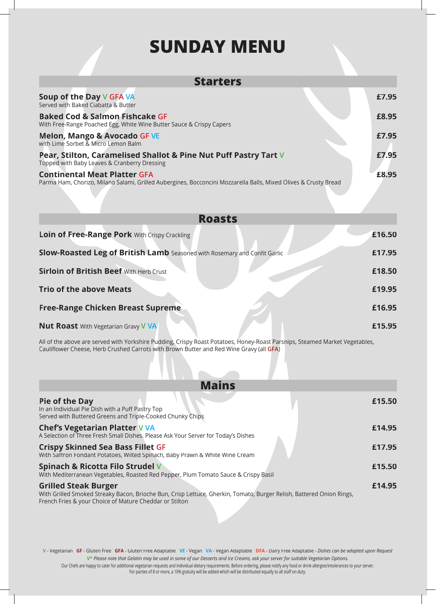## **SUNDAY MENU**

| <b>Starters</b>                                                                                                                                        |        |
|--------------------------------------------------------------------------------------------------------------------------------------------------------|--------|
| Soup of the Day V GFA VA<br>Served with Baked Ciabatta & Butter                                                                                        | £7.95  |
| <b>Baked Cod &amp; Salmon Fishcake GF</b><br>With Free-Range Poached Egg, White Wine Butter Sauce & Crispy Capers                                      | £8.95  |
| <b>Melon, Mango &amp; Avocado GF VE</b><br>with Lime Sorbet & Micro Lemon Balm                                                                         | £7.95  |
| Pear, Stilton, Caramelised Shallot & Pine Nut Puff Pastry Tart V<br>Topped with Baby Leaves & Cranberry Dressing                                       | £7.95  |
| <b>Continental Meat Platter GFA</b><br>Parma Ham, Chorizo, Milano Salami, Grilled Aubergines, Bocconcini Mozzarella Balls, Mixed Olives & Crusty Bread | £8.95  |
| <b>Roasts</b>                                                                                                                                          |        |
| Loin of Free-Range Pork With Crispy Crackling                                                                                                          | £16.50 |
| <b>Slow-Roasted Leg of British Lamb</b> Seasoned with Rosemary and Confit Garlic                                                                       | £17.95 |
| <b>Sirloin of British Beef With Herb Crust</b>                                                                                                         | £18.50 |
| <b>Trio of the above Meats</b>                                                                                                                         | £19.95 |
| <b>Free-Range Chicken Breast Supreme</b>                                                                                                               | £16.95 |
| <b>Nut Roast</b> With Vegetarian Gravy <b>V VA</b>                                                                                                     | £15.95 |

All of the above are served with Yorkshire Pudding, Crispy Roast Potatoes, Honey-Roast Parsnips, Steamed Market Vegetables, Caulifl ower Cheese, Herb Crushed Carrots with Brown Butter and Red Wine Gravy (all **GFA**)

| <b>Mains</b>                                                                                                                                                                                                   |        |
|----------------------------------------------------------------------------------------------------------------------------------------------------------------------------------------------------------------|--------|
| <b>Pie of the Day</b><br>In an Individual Pie Dish with a Puff Pastry Top<br>Served with Buttered Greens and Triple-Cooked Chunky Chips                                                                        | £15.50 |
| <b>Chef's Vegetarian Platter V VA</b><br>A Selection of Three Fresh Small Dishes. Please Ask Your Server for Today's Dishes                                                                                    | £14.95 |
| <b>Crispy Skinned Sea Bass Fillet GF</b><br>With Saffron Fondant Potatoes, Wilted Spinach, Baby Prawn & White Wine Cream                                                                                       | £17.95 |
| Spinach & Ricotta Filo Strudel V<br>With Mediterranean Vegetables, Roasted Red Pepper, Plum Tomato Sauce & Crispy Basil                                                                                        | £15.50 |
| <b>Grilled Steak Burger</b><br>With Grilled Smoked Streaky Bacon, Brioche Bun, Crisp Lettuce, Gherkin, Tomato, Burger Relish, Battered Onion Rings,<br>French Fries & your Choice of Mature Cheddar or Stilton | £14.95 |

**V** - Vegetarian **GF** - Gluten Free **GFA** - Gluten Free Adaptable **VE** - Vegan **VA** - Vegan Adaptable **DFA** - Dairy Free Adaptable - *Dishes can be adapted upon Request* **V\*** *Please note that Gelatin may be used in some of our Desserts and Ice Creams, ask your server for suitable Vegetarian Options*.

Our Chefs are happy to cater for additional vegetarian requests and individual dietary requirements. Before ordering, please notify any food or drink allergies/intolerances to your server. For parties of 8 or more, a 10% gratuity will be added which will be distributed equally to all staff on duty.